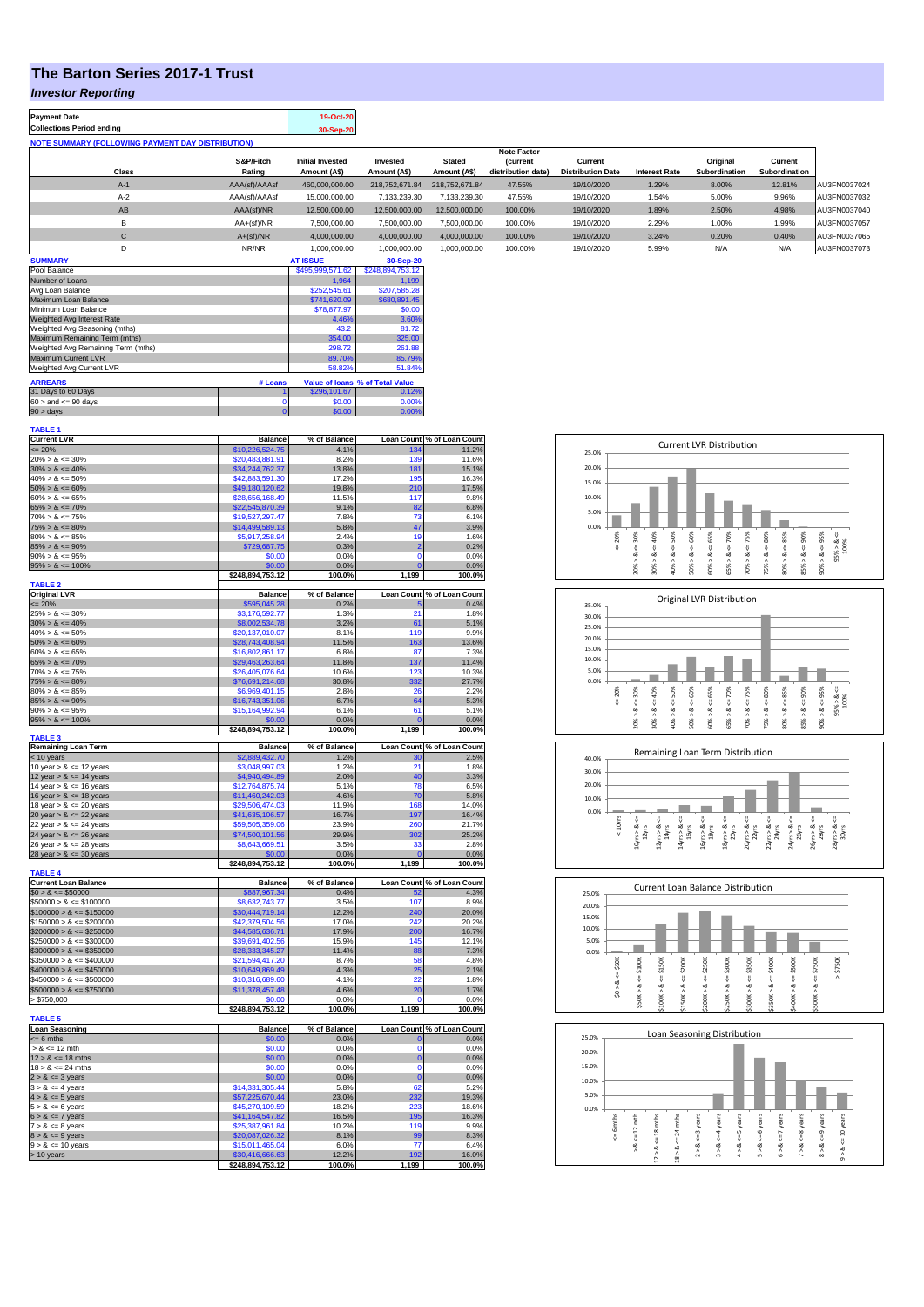# **The Barton Series 2017-1 Trust**

**Payment Date 19-Oct-20** 

## *Investor Reporting*

| <b>Collections Period ending</b>                         |                     | 30-Sep-20                               |                          |                               |                                       |                                     |                      |                           |                          |              |
|----------------------------------------------------------|---------------------|-----------------------------------------|--------------------------|-------------------------------|---------------------------------------|-------------------------------------|----------------------|---------------------------|--------------------------|--------------|
| <b>NOTE SUMMARY (FOLLOWING PAYMENT DAY DISTRIBUTION)</b> |                     |                                         |                          |                               |                                       |                                     |                      |                           |                          |              |
|                                                          |                     |                                         |                          |                               | <b>Note Factor</b>                    |                                     |                      |                           |                          |              |
| Class                                                    | S&P/Fitch<br>Rating | <b>Initial Invested</b><br>Amount (A\$) | Invested<br>Amount (A\$) | <b>Stated</b><br>Amount (A\$) | <i>(current</i><br>distribution date) | Current<br><b>Distribution Date</b> | <b>Interest Rate</b> | Original<br>Subordination | Current<br>Subordination |              |
| $A-1$                                                    | AAA(sf)/AAAsf       | 460.000.000.00                          | 218,752,671,84           | 218.752.671.84                | 47.55%                                | 19/10/2020                          | 1.29%                | 8.00%                     | 12.81%                   | AU3FN0037024 |
| $A-2$                                                    | AAA(sf)/AAAsf       | 15,000,000.00                           | 7,133,239.30             | 7,133,239.30                  | 47.55%                                | 19/10/2020                          | 1.54%                | 5.00%                     | 9.96%                    | AU3FN0037032 |
| AB                                                       | AAA(sf)/NR          | 12,500,000.00                           | 12,500,000.00            | 12.500.000.00                 | 100.00%                               | 19/10/2020                          | 1.89%                | 2.50%                     | 4.98%                    | AU3FN0037040 |
| B                                                        | $AA+(sf)/NR$        | 7.500.000.00                            | 7.500.000.00             | 7,500,000.00                  | 100.00%                               | 19/10/2020                          | 2.29%                | 1.00%                     | 1.99%                    | AU3FN0037057 |
| С                                                        | $A+(sf)/NR$         | 4,000,000.00                            | 4,000,000.00             | 4,000,000.00                  | 100.00%                               | 19/10/2020                          | 3.24%                | 0.20%                     | 0.40%                    | AU3FN0037065 |
| D                                                        | NR/NR               | 1.000.000.00                            | 1.000.000.00             | 1.000.000.00                  | 100.00%                               | 19/10/2020                          | 5.99%                | N/A                       | N/A                      | AU3FN0037073 |
| <b>SUMMARY</b>                                           |                     | <b>AT ISSUE</b>                         | 30-Sep-20                |                               |                                       |                                     |                      |                           |                          |              |

| Pool Balance                       |         | \$495.999.571.62 | \$248.894.753.12                |
|------------------------------------|---------|------------------|---------------------------------|
| Number of Loans                    |         | 1.964            | 1.199                           |
| Avg Loan Balance                   |         | \$252,545.61     | \$207,585.28                    |
| Maximum Loan Balance               |         | \$741,620.09     | \$680,891.45                    |
| Minimum Loan Balance               |         | \$78,877.97      | \$0.00                          |
| Weighted Avg Interest Rate         |         | 4.46%            | 3.60%                           |
| Weighted Avg Seasoning (mths)      |         | 43.2             | 81.72                           |
| Maximum Remaining Term (mths)      | 354.00  | 325.00           |                                 |
| Weighted Avg Remaining Term (mths) | 298.72  | 261.88           |                                 |
| Maximum Current LVR                |         | 89.70%           | 85.79%                          |
| Weighted Avg Current LVR           |         | 58.82%           | 51.84%                          |
| <b>ARREARS</b>                     | # Loans |                  | Value of Ioans % of Total Value |
|                                    |         |                  |                                 |
| 31 Days to 60 Days                 |         | \$296,101.67     | 0.12%                           |
| $60 >$ and $\leq 90$ days          |         | \$0.00           | 0.00%                           |
| $90 >$ days                        | 0       | \$0.00           | 0.00%                           |

| <b>TABLE 1</b>                              |                                     |                      |                            |                                    |
|---------------------------------------------|-------------------------------------|----------------------|----------------------------|------------------------------------|
| <b>Current LVR</b>                          | <b>Balance</b>                      | % of Balance         |                            | Loan Count % of Loan Count         |
| $= 20%$                                     | \$10,226,524.75                     | 4.1%                 |                            | 11.2%                              |
| $20\% > 8 \le 30\%$                         | \$20,483,881.91                     | 8.2%                 | 139                        | 11.6%                              |
| $30\% > 8 \le 40\%$                         | \$34,244,762.37                     | 13.8%                | 181                        | 15.1%                              |
| $40\% > 8 \le 50\%$                         | \$42,883,591.30                     | 17.2%                | 195                        | 16.3%                              |
| $50\% > 8 \le 60\%$                         | \$49,180,120.62                     | 19.8%                | 210                        | 17.5%                              |
| $60\% > 8 \le 65\%$                         | \$28,656,168.49                     | 11.5%                | 117                        | 9.8%                               |
| $65\% > 8 \le 70\%$                         | \$22,545,870.39                     | 9.1%                 | 82                         | 6.8%                               |
| $70\% > 8 \le 75\%$                         | \$19,527,297.47                     | 7.8%                 | 73                         | 6.1%                               |
| $75\% > 8 \le 80\%$                         | \$14,499,589.13                     | 5.8%                 | 47                         | 3.9%                               |
| $80\% > 8 \le 85\%$                         | \$5,917,258.94                      | 2.4%                 | 19                         | 1.6%                               |
| $85\% > 8 \le 90\%$                         | \$729,687.75                        | 0.3%                 | $\overline{2}$<br>$\Omega$ | 0.2%                               |
| $90\% > 8 \le 95\%$                         | \$0.00                              | 0.0%                 | $\Omega$                   | 0.0%                               |
| $95\% > 8 \le 100\%$                        | \$0.00<br>\$248,894,753.12          | 0.0%<br>100.0%       | 1,199                      | 0.0%<br>100.0%                     |
| <b>TABLE 2</b>                              |                                     |                      |                            |                                    |
| <b>Original LVR</b>                         | <b>Balance</b>                      | % of Balance         |                            | Loan Count % of Loan Count         |
| $= 20%$                                     | \$595,045.28                        | 0.2%                 |                            | 0.4%                               |
| $25\% > 8 \le 30\%$                         | \$3,176,592.77                      | 1.3%                 | $\overline{21}$            | 1.8%                               |
| $30\% > 8 \le 40\%$                         | \$8,002,534.78                      | 3.2%                 | 61                         | 5.1%                               |
| $40\% > 8 \le 50\%$                         | \$20,137,010.07                     | 8.1%                 | 119                        | 9.9%                               |
| $50\% > 8 \le 60\%$                         | \$28,743,408.94                     | 11.5%                | 163                        | 13.6%                              |
| $60\% > 8 \le 65\%$                         | \$16,802,861.17                     | 6.8%                 | 87                         | 7.3%                               |
| $65\% > 8 \le 70\%$                         | \$29,463,263.64                     | 11.8%                | 137                        | 11.4%                              |
| $70\% > 8 \le 75\%$                         | \$26,405,076.64                     | 10.6%                | 123                        | 10.3%                              |
| $75\% > 8 \le 80\%$                         | \$76,691,214.68                     | 30.8%                | 332                        | 27.7%                              |
| $80\% > 8 \le 85\%$                         | \$6,969,401.15                      | 2.8%                 | 26                         | 2.2%                               |
| $85\% > 8 \le 90\%$                         | \$16,743,351.06                     | 6.7%                 | 64                         | 5.3%                               |
| $90\% > 8 \le 95\%$                         | \$15,164,992.94                     | 6.1%                 | 61                         | 5.1%                               |
| $95\% > 8 \le 100\%$                        | \$0.00                              | 0.0%                 | $\Omega$                   | 0.0%                               |
|                                             | \$248,894,753.12                    | 100.0%               | 1,199                      | 100.0%                             |
| <b>TABLE 3</b>                              |                                     |                      |                            |                                    |
| <b>Remaining Loan Term</b>                  | <b>Balance</b>                      | % of Balance         |                            | Loan Count % of Loan Count         |
| < 10 years                                  | \$2,889,432.70                      | 1.2%                 | 30                         | 2.5%                               |
| 10 year $> 8 \le 12$ years                  | \$3,048,997.03                      | 1.2%                 | 21                         | 1.8%                               |
| 12 year $> 8 \le 14$ years                  | \$4,940,494.89                      | 2.0%                 | 40                         | 3.3%                               |
| 14 year $> 8 \le 16$ years                  | \$12,764,875.74                     | 5.1%                 | 78                         | 6.5%                               |
| 16 year $> 8 \le 18$ years                  | \$11,460,242.03                     | 4.6%                 | 70                         | 5.8%                               |
| 18 year $> 8 \le 20$ years                  | \$29,506,474.03                     | 11.9%                | 168                        | 14.0%                              |
| 20 year $> 8 \le 22$ years                  | \$41,635,106.57                     | 16.7%                | 197                        | 16.4%                              |
| 22 year $> 8 \le 24$ years                  | \$59,505,359.06                     | 23.9%                | 260                        | 21.7%                              |
| 24 year $> 8 \le 26$ years                  | \$74,500,101.56                     | 29.9%                | 302                        | 25.2%                              |
| 26 year $> 8 \le 28$ years                  | \$8,643,669.51                      | 3.5%                 | 33                         | 2.8%                               |
| 28 year $> 8 \le 30$ years                  | \$0.00                              | 0.0%<br>100.0%       | $\overline{c}$             | 0.0%                               |
| <b>TABLE 4</b>                              | \$248,894,753.12                    |                      | 1,199                      | 100.0%                             |
| <b>Current Loan Balance</b>                 | <b>Balance</b>                      | % of Balance         |                            | Loan Count % of Loan Count         |
| $$0 > 8 \le $50000$                         | \$887,967.34                        | 0.4%                 | 52                         | 4.3%                               |
| $$50000 > 8 \le $100000$                    | \$8,632,743.77                      | 3.5%                 | 107                        | 8.9%                               |
| $$100000 > 8 \le $150000$                   | \$30,444,719.14                     | 12.2%                | 240                        | 20.0%                              |
| $$150000 > 8 \le $200000$                   | \$42,379,504.56                     | 17.0%                | 242                        | 20.2%                              |
| $$200000 > 8 \leq $250000$                  | \$44,585,636.71                     | 17.9%                | 200                        | 16.7%                              |
| $$250000 > 8 \leq $300000$                  | \$39,691,402.56                     | 15.9%                | 145                        | 12.1%                              |
| $$300000 > 8 \leq $350000$                  | \$28,333,345.27                     | 11.4%                | 88                         | 7.3%                               |
| $$350000 > 8 \le $400000$                   | \$21,594,417.20                     | 8.7%                 | 58                         | 4.8%                               |
| $$400000 > 8 \le $450000$                   | \$10,649,869.49                     | 4.3%                 | 25                         | 2.1%                               |
| $$450000 > 8 \le $500000$                   | \$10,316,689.60                     | 4.1%                 | 22                         | 1.8%                               |
| $$500000 > 8 \leq $750000$                  | \$11,378,457.48                     | 4.6%                 | 20                         | 1.7%                               |
| > \$750,000                                 | \$0.00                              | 0.0%                 | C                          | 0.0%                               |
|                                             | \$248,894,753.12                    | 100.0%               | 1,199                      | 100.0%                             |
| <b>TABLE 5</b>                              |                                     |                      |                            |                                    |
| <b>Loan Seasoning</b>                       |                                     |                      |                            |                                    |
| $= 6$ mths                                  |                                     |                      |                            |                                    |
| $> 8 \le 12$ mth                            | <b>Balance</b><br>\$0.00            | % of Balance<br>0.0% | $\mathbf{0}$               | Loan Count % of Loan Count<br>0.0% |
|                                             | \$0.00                              | 0.0%                 | O                          | 0.0%                               |
| $12 > 8 \le 18$ mths                        | \$0.00                              | 0.0%                 | $\bf{0}$                   | 0.0%                               |
| $18 > 8 \le 24$ mths                        | \$0.00                              | 0.0%                 | 0                          | 0.0%                               |
|                                             | \$0.00                              | 0.0%                 | $\bf{0}$                   | 0.0%                               |
| $2 > 8 \le 3$ years<br>$3 > 8 \leq 4$ years | \$14,331,305.44                     | 5.8%                 | 62                         | 5.2%                               |
| $4 > 8 \le 5$ years                         | \$57,225,670.44                     | 23.0%                | 232                        | 19.3%                              |
| $5 > 8 \le 6$ years                         | \$45,270,109.59                     | 18.2%                | 223                        | 18.6%                              |
| $6 > 8 \le 7$ years                         | \$41,164,547.82                     | 16.5%                | 195                        | 16.3%                              |
| $7 > 8 \le 8$ years                         | \$25,387,961.84                     | 10.2%                | 119                        | 9.9%                               |
| $8 > 8 \le 9$ years                         | \$20,087,026.32                     | 8.1%                 | 99                         | 8.3%                               |
| $9 > 8 \le 10$ years                        | \$15,011,465.04                     | 6.0%                 | 77                         | 6.4%                               |
| > 10 years                                  | \$30,416,666.63<br>\$248,894,753.12 | 12.2%<br>100.0%      | 1,199                      | 16.0%<br>100.0%                    |

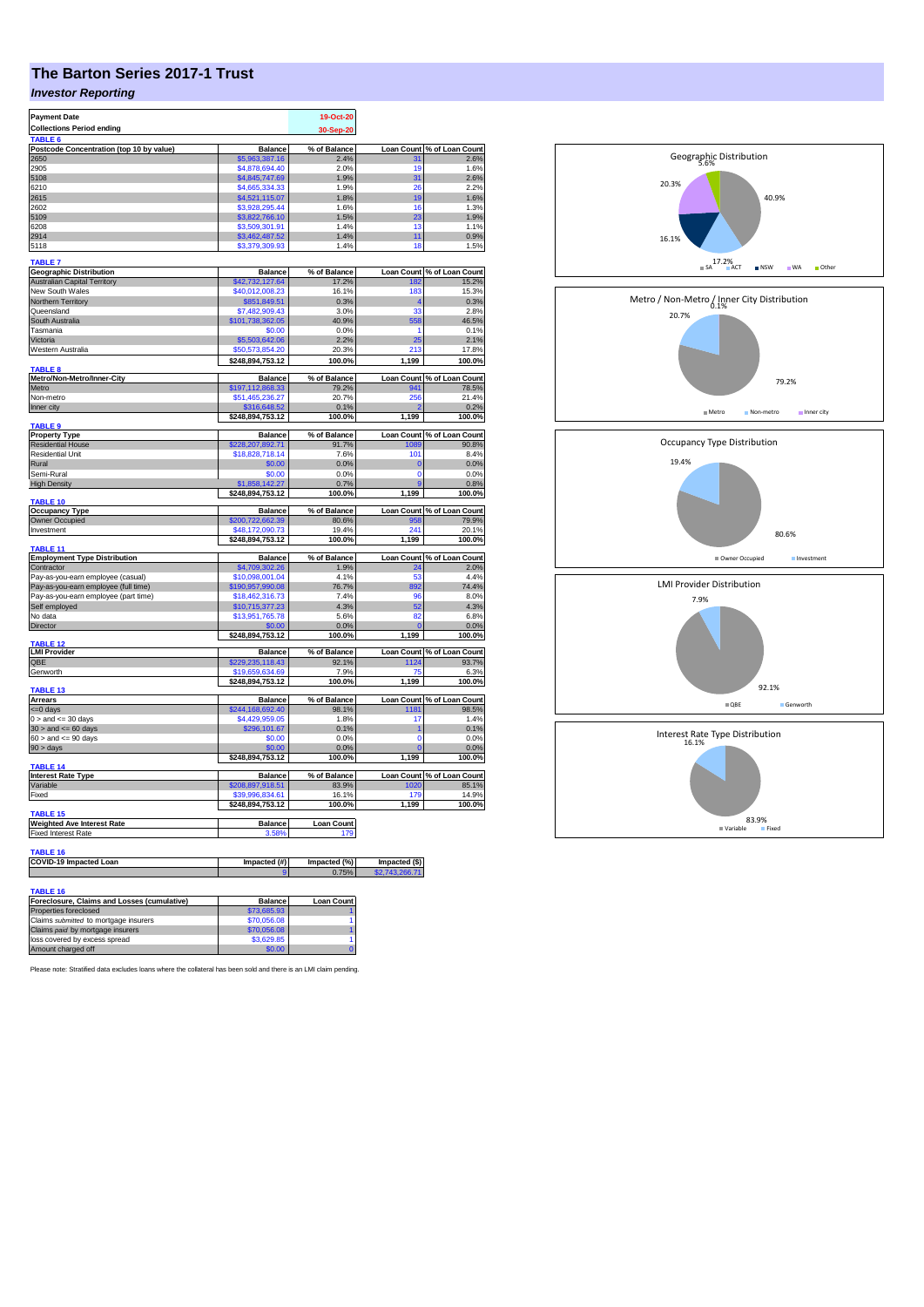# **The Barton Series 2017-1 Trust**

## *Investor Reporting*

| <b>Payment Date</b>                                                       |                                     | 19-Oct-20         |                   |                            |
|---------------------------------------------------------------------------|-------------------------------------|-------------------|-------------------|----------------------------|
| <b>Collections Period ending</b><br>TABLE <sub>6</sub>                    |                                     | 30-Sep-20         |                   |                            |
| Postcode Concentration (top 10 by value)                                  | <b>Balance</b>                      | % of Balance      |                   | Loan Count % of Loan Count |
| 2650                                                                      | \$5,963,387.16                      | 2.4%              | 31                | 2.6%                       |
| 2905<br>5108                                                              | \$4,878,694.40<br>\$4,845,747.69    | 2.0%<br>1.9%      | 19<br>31          | 1.6%<br>2.6%               |
| 6210                                                                      | \$4,665,334.33                      | 1.9%              | 26                | 2.2%                       |
| 2615                                                                      | \$4,521,115.07                      | 1.8%              | 19                | 1.6%                       |
| 2602                                                                      | \$3,928,295.44                      | 1.6%              | 16                | 1.3%                       |
| 5109<br>6208                                                              | \$3,822,766.10<br>\$3,509,301.91    | 1.5%<br>1.4%      | 23<br>13          | 1.9%<br>1.1%               |
| 2914                                                                      | \$3,462,487.52                      | 1.4%              | 11                | 0.9%                       |
| 5118                                                                      | \$3,379,309.93                      | 1.4%              | 18                | 1.5%                       |
| <b>TABLE 7</b>                                                            |                                     |                   |                   |                            |
| <b>Geographic Distribution</b>                                            | <b>Balance</b>                      | % of Balance      | <b>Loan Count</b> | % of Loan Count            |
| <b>Australian Capital Territory</b><br>New South Wales                    | \$42,732,127.64<br>\$40,012,008.23  | 17.2%<br>16.1%    | 182<br>183        | 15.2%<br>15.3%             |
| Northern Territory                                                        | \$851,849.51                        | 0.3%              | 4                 | 0.3%                       |
| Queensland                                                                | \$7,482,909.43                      | 3.0%              | 33                | 2.8%                       |
| South Australia                                                           | \$101,738,362.05                    | 40.9%             | 558               | 46.5%                      |
| Tasmania<br>Victoria                                                      | \$0.00<br>\$5,503,642.06            | 0.0%<br>2.2%      | 1<br>25           | 0.1%<br>2.1%               |
| Western Australia                                                         | \$50,573,854.20                     | 20.3%             | 213               | 17.8%                      |
|                                                                           | \$248,894,753.12                    | 100.0%            | 1,199             | 100.0%                     |
| <b>TABLE 8</b><br>Metro/Non-Metro/Inner-City                              | <b>Balance</b>                      | % of Balance      | <b>Loan Count</b> | % of Loan Count            |
| Metro                                                                     | \$197,112,868.33                    | 79.2%             | 941               | 78.5%                      |
| Non-metro                                                                 | \$51,465,236.27                     | 20.7%             | 256               | 21.4%                      |
| Inner city                                                                | \$316,648.52                        | 0.1%              |                   | 0.2%<br>100.0%             |
| TABLE <sub>9</sub>                                                        | \$248,894,753.12                    | 100.0%            | 1,199             |                            |
| <b>Property Type</b>                                                      | <b>Balance</b>                      | % of Balance      | <b>Loan Count</b> | % of Loan Count            |
| <b>Residential House</b><br><b>Residential Unit</b>                       | \$228,207,892.71<br>\$18,828,718.14 | 91.7%<br>7.6%     | 1089<br>101       | 90.8%<br>8.4%              |
| Rural                                                                     | \$0.00                              | 0.0%              | $\bf{0}$          | 0.0%                       |
| Semi-Rural                                                                | \$0.00                              | 0.0%              | $\Omega$          | 0.0%                       |
| <b>High Density</b>                                                       | \$1,858,142.27                      | 0.7%              | 9                 | 0.8%                       |
| <b>TABLE 10</b>                                                           | \$248,894,753.12                    | 100.0%            | 1,199             | 100.0%                     |
| <b>Occupancy Type</b>                                                     | <b>Balance</b>                      | % of Balance      | <b>Loan Count</b> | % of Loan Count            |
| Owner Occupied                                                            | \$200,722,662.39                    | 80.6%             | 958               | 79.9%                      |
| Investment                                                                | \$48,172,090.73<br>\$248,894,753.12 | 19.4%<br>100.0%   | 241<br>1,199      | 20.1%<br>100.0%            |
| <b>TABLE 11</b>                                                           |                                     |                   |                   |                            |
| <b>Employment Type Distribution</b>                                       | <b>Balance</b>                      | % of Balance      |                   | Loan Count % of Loan Count |
| Contractor<br>Pay-as-you-earn employee (casual)                           | \$4,709,302.26<br>\$10,098,001.04   | 1.9%<br>4.1%      | 24<br>53          | 2.0%<br>4.4%               |
| Pay-as-you-earn employee (full time)                                      | \$190,957,990.08                    | 76.7%             | 892               | 74.4%                      |
| Pay-as-you-earn employee (part time)                                      | \$18,462,316.73                     | 7.4%              | 96                | 8.0%                       |
| Self employed                                                             | \$10,715,377.23                     | 4.3%              | 52                | 4.3%                       |
| No data<br>Director                                                       | \$13,951,765.78<br>\$0.00           | 5.6%<br>0.0%      | 82                | 6.8%<br>0.0%               |
|                                                                           | \$248,894,753.12                    | 100.0%            | 1,199             | 100.0%                     |
| TABLE <sub>12</sub><br><b>LMI Provider</b>                                | <b>Balance</b>                      | % of Balance      |                   | Loan Count % of Loan Count |
| QBE                                                                       | \$229,235,118.43                    | 92.1%             | 1124              | 93.7%                      |
| Genworth                                                                  | \$19,659,634.69                     | 7.9%              | 7۴                | 6.3%                       |
|                                                                           | \$248,894,753.12                    | 100.0%            | 1,199             | 100.0%                     |
| <b>TABLE 13</b><br>Arrears                                                | <b>Balance</b>                      | % of Balance      | <b>Loan Count</b> | % of Loan Count            |
| <= 0 days                                                                 | \$244,168,692.40                    | 98.1%             | 1181              | 98.5%                      |
| $0 >$ and $\leq$ 30 days                                                  | \$4,429,959.05                      | 1.8%              | 17                | 1.4%                       |
| $30 >$ and $\leq 60$ days                                                 | \$296,101.67<br>\$0.00              | 0.1%<br>0.0%      | 1<br>0            | 0.1%<br>0.0%               |
| $60 >$ and $<= 90$ days<br>$90 > \text{days}$                             | \$0.00                              | 0.0%              | $\mathbf 0$       | 0.0%                       |
|                                                                           | \$248,894,753.12                    | 100.0%            | 1,199             | 100.0%                     |
| TABLE 14<br><b>Interest Rate Type</b>                                     | <b>Balance</b>                      | % of Balance      | <b>Loan Count</b> | % of Loan Count            |
| Variable                                                                  | \$208,897,918.51                    | 83.9%             | 1020              | 85.1%                      |
| Fixed                                                                     | \$39,996,834.61                     | 16.1%             | 179               | 14.9%                      |
| TABLE 15                                                                  | \$248,894,753.12                    | 100.0%            | 1,199             | 100.0%                     |
| <b>Weighted Ave Interest Rate</b>                                         | <b>Balance</b>                      | <b>Loan Count</b> |                   |                            |
| <b>Fixed Interest Rate</b>                                                | 3.58%                               | 179               |                   |                            |
| <b>TABLE 16</b>                                                           |                                     |                   |                   |                            |
| COVID-19 Impacted Loan                                                    | Impacted (#)                        | Impacted (%)      | Impacted (\$)     |                            |
|                                                                           |                                     | 0.75%             | 2743266           |                            |
| <b>TABLE 16</b>                                                           |                                     |                   |                   |                            |
| Foreclosure, Claims and Losses (cumulative)                               | <b>Balance</b>                      | <b>Loan Count</b> |                   |                            |
| Properties foreclosed                                                     | \$73,685.93                         |                   |                   |                            |
| Claims submitted to mortgage insurers<br>Claims paid by mortgage insurers | \$70,056.08                         | 1                 |                   |                            |
| loss covered by excess spread                                             | \$70,056.08<br>\$3,629.85           | 1                 |                   |                            |
| Amount charged off                                                        | \$0.00                              |                   |                   |                            |



5.6% Geographic Distribution

Please note: Stratified data excludes loans where the collateral has been sold and there is an LMI claim pending.